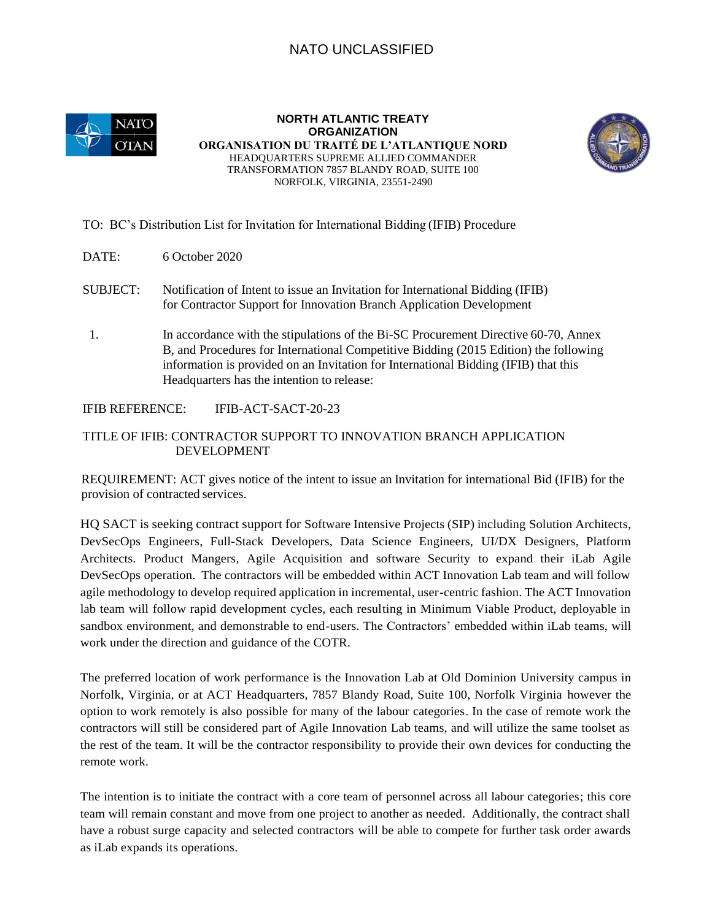## NATO UNCLASSIFIED



**NORTH ATLANTIC TREATY ORGANIZATION ORGANISATION DU TRAITÉ DE L'ATLANTIQUE NORD**  HEADQUARTERS SUPREME ALLIED COMMANDER TRANSFORMATION 7857 BLANDY ROAD, SUITE 100 NORFOLK, VIRGINIA, 23551-2490



## TO: BC's Distribution List for Invitation for International Bidding (IFIB) Procedure

- DATE: 6 October 2020
- SUBJECT: Notification of Intent to issue an Invitation for International Bidding (IFIB) for Contractor Support for Innovation Branch Application Development
- 1. In accordance with the stipulations of the Bi-SC Procurement Directive 60-70, Annex B, and Procedures for International Competitive Bidding (2015 Edition) the following information is provided on an Invitation for International Bidding (IFIB) that this Headquarters has the intention to release:

IFIB REFERENCE: IFIB-ACT-SACT-20-23

## TITLE OF IFIB: CONTRACTOR SUPPORT TO INNOVATION BRANCH APPLICATION DEVELOPMENT

REQUIREMENT: ACT gives notice of the intent to issue an Invitation for international Bid (IFIB) for the provision of contracted services.

HQ SACT is seeking contract support for Software Intensive Projects (SIP) including Solution Architects, DevSecOps Engineers, Full-Stack Developers, Data Science Engineers, UI/DX Designers, Platform Architects. Product Mangers, Agile Acquisition and software Security to expand their iLab Agile DevSecOps operation. The contractors will be embedded within ACT Innovation Lab team and will follow agile methodology to develop required application in incremental, user-centric fashion. The ACT Innovation lab team will follow rapid development cycles, each resulting in Minimum Viable Product, deployable in sandbox environment, and demonstrable to end-users. The Contractors' embedded within iLab teams, will work under the direction and guidance of the COTR.

The preferred location of work performance is the Innovation Lab at Old Dominion University campus in Norfolk, Virginia, or at ACT Headquarters, 7857 Blandy Road, Suite 100, Norfolk Virginia however the option to work remotely is also possible for many of the labour categories. In the case of remote work the contractors will still be considered part of Agile Innovation Lab teams, and will utilize the same toolset as the rest of the team. It will be the contractor responsibility to provide their own devices for conducting the remote work.

The intention is to initiate the contract with a core team of personnel across all labour categories; this core team will remain constant and move from one project to another as needed. Additionally, the contract shall have a robust surge capacity and selected contractors will be able to compete for further task order awards as iLab expands its operations.